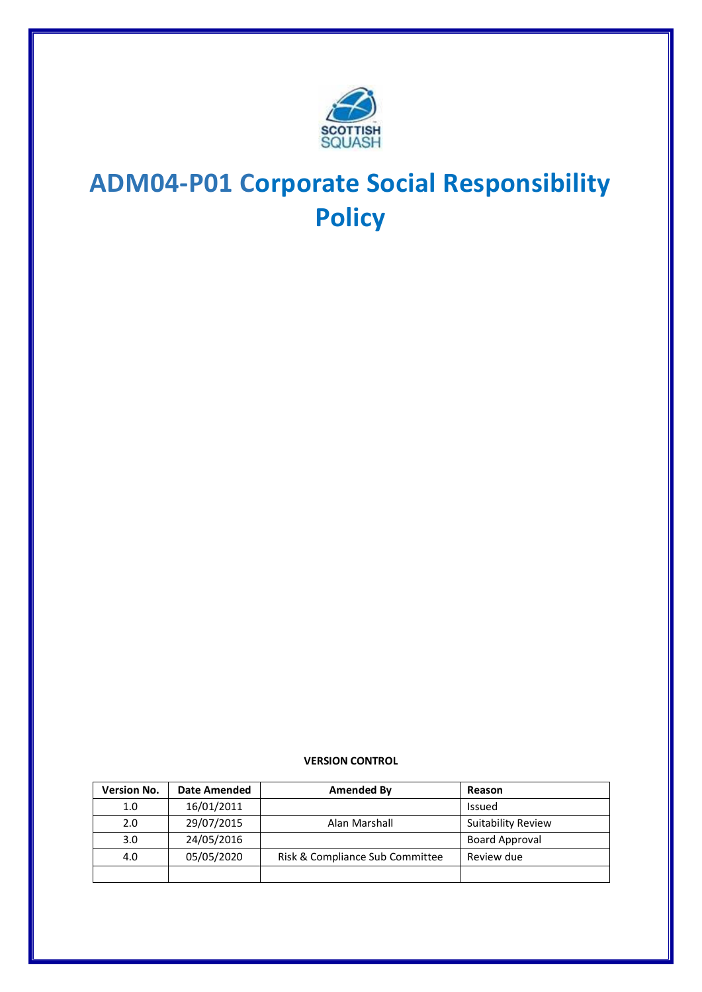

# **ADM04-P01 Corporate Social Responsibility Policy**

**VERSION CONTROL**

| <b>Version No.</b> | <b>Date Amended</b> | Amended By                      | Reason                    |
|--------------------|---------------------|---------------------------------|---------------------------|
| 1.0                | 16/01/2011          |                                 | Issued                    |
| 2.0                | 29/07/2015          | Alan Marshall                   | <b>Suitability Review</b> |
| 3.0                | 24/05/2016          |                                 | <b>Board Approval</b>     |
| 4.0                | 05/05/2020          | Risk & Compliance Sub Committee | Review due                |
|                    |                     |                                 |                           |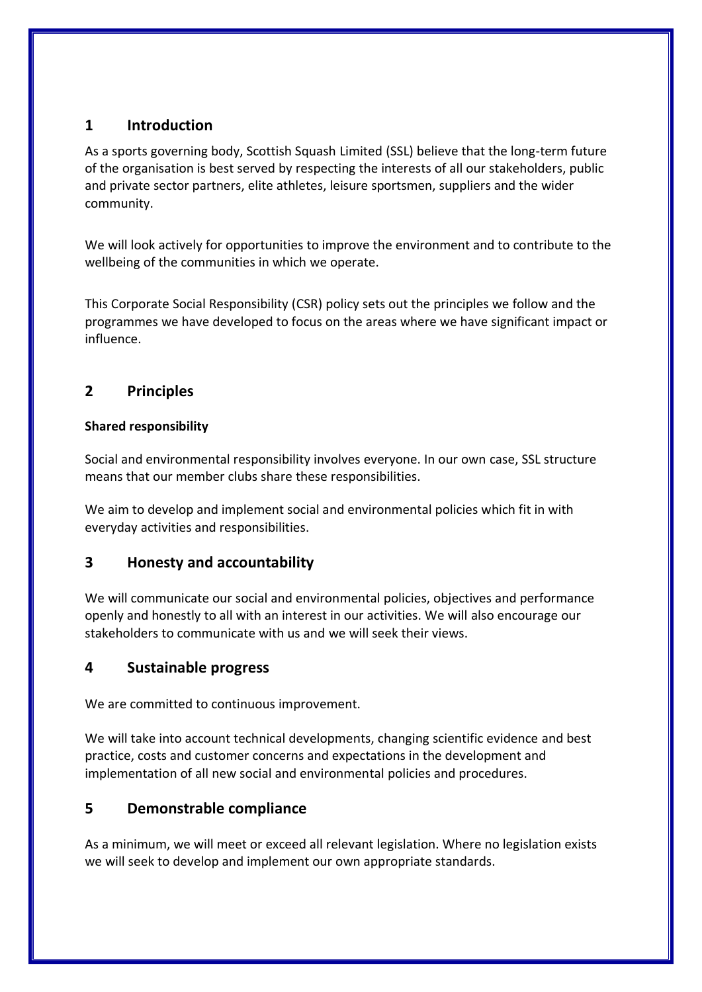## **1 Introduction**

As a sports governing body, Scottish Squash Limited (SSL) believe that the long-term future of the organisation is best served by respecting the interests of all our stakeholders, public and private sector partners, elite athletes, leisure sportsmen, suppliers and the wider community.

We will look actively for opportunities to improve the environment and to contribute to the wellbeing of the communities in which we operate.

This Corporate Social Responsibility (CSR) policy sets out the principles we follow and the programmes we have developed to focus on the areas where we have significant impact or influence.

# **2 Principles**

#### **Shared responsibility**

Social and environmental responsibility involves everyone. In our own case, SSL structure means that our member clubs share these responsibilities.

We aim to develop and implement social and environmental policies which fit in with everyday activities and responsibilities.

## **3 Honesty and accountability**

We will communicate our social and environmental policies, objectives and performance openly and honestly to all with an interest in our activities. We will also encourage our stakeholders to communicate with us and we will seek their views.

## **4 Sustainable progress**

We are committed to continuous improvement.

We will take into account technical developments, changing scientific evidence and best practice, costs and customer concerns and expectations in the development and implementation of all new social and environmental policies and procedures.

# **5 Demonstrable compliance**

As a minimum, we will meet or exceed all relevant legislation. Where no legislation exists we will seek to develop and implement our own appropriate standards.